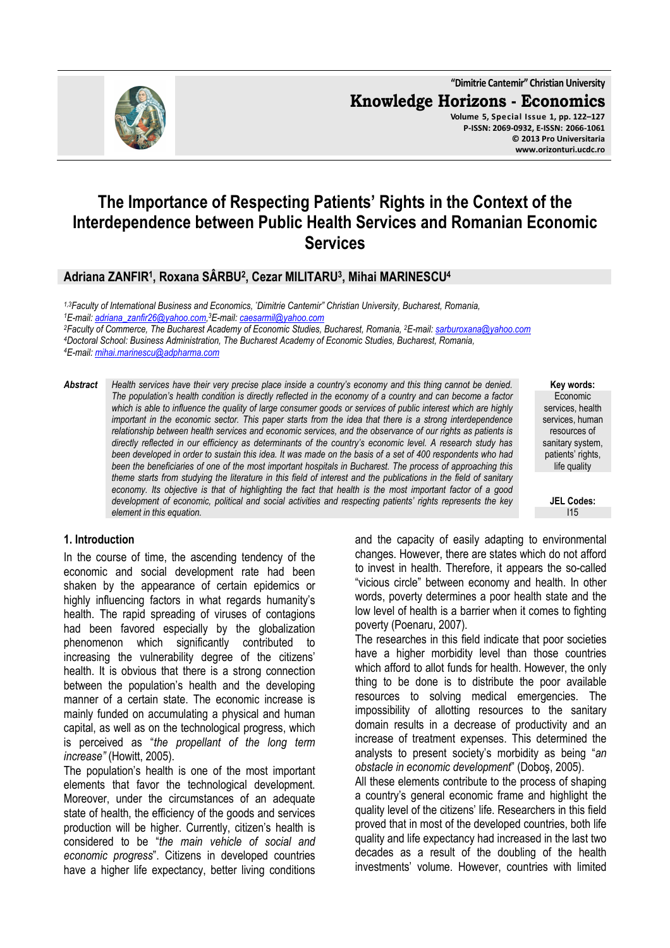**"Dimitrie Cantemir" Christian University Knowledge Horizons - Economics Volume 5, Special Issue 1, pp. 122–127 P-ISSN: 2069-0932, E-ISSN: 2066-1061 © 2013 Pro Universitaria** 

# **The Importance of Respecting Patients' Rights in the Context of the Interdependence between Public Health Services and Romanian Economic Services**

# **Adriana ZANFIR<sup>1</sup> , Roxana SÂRBU<sup>2</sup> , Cezar MILITARU<sup>3</sup> , Mihai MARINESCU<sup>4</sup>**

*1,3Faculty of International Business and Economics, "Dimitrie Cantemir" Christian University, Bucharest, Romania, E-mail: adriana\_zanfir26@yahoo.com, <sup>3</sup>E-mail: caesarmil@yahoo.com Faculty of Commerce, The Bucharest Academy of Economic Studies, Bucharest, Romania, <sup>2</sup>E-mail: sarburoxana@yahoo.com Doctoral School: Business Administration, The Bucharest Academy of Economic Studies, Bucharest, Romania, E-mail: mihai.marinescu@adpharma.com* 

*Abstract Health services have their very precise place inside a country's economy and this thing cannot be denied. The population's health condition is directly reflected in the economy of a country and can become a factor*  which is able to influence the quality of large consumer goods or services of public interest which are highly *important in the economic sector. This paper starts from the idea that there is a strong interdependence relationship between health services and economic services, and the observance of our rights as patients is directly reflected in our efficiency as determinants of the country's economic level. A research study has been developed in order to sustain this idea. It was made on the basis of a set of 400 respondents who had been the beneficiaries of one of the most important hospitals in Bucharest. The process of approaching this theme starts from studying the literature in this field of interest and the publications in the field of sanitary economy. Its objective is that of highlighting the fact that health is the most important factor of a good development of economic, political and social activities and respecting patients' rights represents the key element in this equation.* 

**Key words:** Economic services, health services, human resources of sanitary system. patients' rights, life quality

**www.orizonturi.ucdc.ro**

**JEL Codes:** I15

#### **1. Introduction**

In the course of time, the ascending tendency of the economic and social development rate had been shaken by the appearance of certain epidemics or highly influencing factors in what regards humanity's health. The rapid spreading of viruses of contagions had been favored especially by the globalization phenomenon which significantly contributed to increasing the vulnerability degree of the citizens' health. It is obvious that there is a strong connection between the population's health and the developing manner of a certain state. The economic increase is mainly funded on accumulating a physical and human capital, as well as on the technological progress, which is perceived as "*the propellant of the long term increase"* (Howitt, 2005).

The population's health is one of the most important elements that favor the technological development. Moreover, under the circumstances of an adequate state of health, the efficiency of the goods and services production will be higher. Currently, citizen's health is considered to be "*the main vehicle of social and economic progress*". Citizens in developed countries have a higher life expectancy, better living conditions

and the capacity of easily adapting to environmental changes. However, there are states which do not afford to invest in health. Therefore, it appears the so-called "vicious circle" between economy and health. In other words, poverty determines a poor health state and the low level of health is a barrier when it comes to fighting poverty (Poenaru, 2007).

The researches in this field indicate that poor societies have a higher morbidity level than those countries which afford to allot funds for health. However, the only thing to be done is to distribute the poor available resources to solving medical emergencies. The impossibility of allotting resources to the sanitary domain results in a decrease of productivity and an increase of treatment expenses. This determined the analysts to present society's morbidity as being "*an obstacle in economic development*" (Doboş, 2005).

All these elements contribute to the process of shaping a country's general economic frame and highlight the quality level of the citizens' life. Researchers in this field proved that in most of the developed countries, both life quality and life expectancy had increased in the last two decades as a result of the doubling of the health investments' volume. However, countries with limited

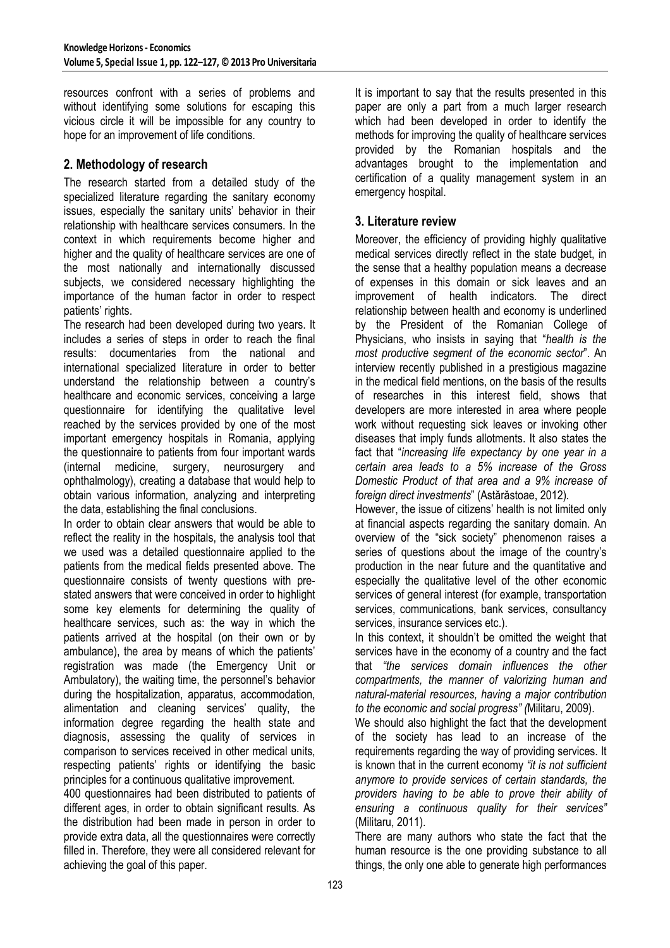resources confront with a series of problems and without identifying some solutions for escaping this vicious circle it will be impossible for any country to hope for an improvement of life conditions.

## **2. Methodology of research**

The research started from a detailed study of the specialized literature regarding the sanitary economy issues, especially the sanitary units' behavior in their relationship with healthcare services consumers. In the context in which requirements become higher and higher and the quality of healthcare services are one of the most nationally and internationally discussed subjects, we considered necessary highlighting the importance of the human factor in order to respect patients' rights.

The research had been developed during two years. It includes a series of steps in order to reach the final results: documentaries from the national and international specialized literature in order to better understand the relationship between a country's healthcare and economic services, conceiving a large questionnaire for identifying the qualitative level reached by the services provided by one of the most important emergency hospitals in Romania, applying the questionnaire to patients from four important wards (internal medicine, surgery, neurosurgery and ophthalmology), creating a database that would help to obtain various information, analyzing and interpreting the data, establishing the final conclusions.

In order to obtain clear answers that would be able to reflect the reality in the hospitals, the analysis tool that we used was a detailed questionnaire applied to the patients from the medical fields presented above. The questionnaire consists of twenty questions with prestated answers that were conceived in order to highlight some key elements for determining the quality of healthcare services, such as: the way in which the patients arrived at the hospital (on their own or by ambulance), the area by means of which the patients' registration was made (the Emergency Unit or Ambulatory), the waiting time, the personnel's behavior during the hospitalization, apparatus, accommodation, alimentation and cleaning services' quality, the information degree regarding the health state and diagnosis, assessing the quality of services in comparison to services received in other medical units, respecting patients' rights or identifying the basic principles for a continuous qualitative improvement.

400 questionnaires had been distributed to patients of different ages, in order to obtain significant results. As the distribution had been made in person in order to provide extra data, all the questionnaires were correctly filled in. Therefore, they were all considered relevant for achieving the goal of this paper.

It is important to say that the results presented in this paper are only a part from a much larger research which had been developed in order to identify the methods for improving the quality of healthcare services provided by the Romanian hospitals and the advantages brought to the implementation and certification of a quality management system in an emergency hospital.

### **3. Literature review**

Moreover, the efficiency of providing highly qualitative medical services directly reflect in the state budget, in the sense that a healthy population means a decrease of expenses in this domain or sick leaves and an improvement of health indicators. The direct relationship between health and economy is underlined by the President of the Romanian College of Physicians, who insists in saying that "*health is the most productive segment of the economic sector*". An interview recently published in a prestigious magazine in the medical field mentions, on the basis of the results of researches in this interest field, shows that developers are more interested in area where people work without requesting sick leaves or invoking other diseases that imply funds allotments. It also states the fact that "*increasing life expectancy by one year in a certain area leads to a 5% increase of the Gross Domestic Product of that area and a 9% increase of foreign direct investments*" (Astărăstoae, 2012).

However, the issue of citizens' health is not limited only at financial aspects regarding the sanitary domain. An overview of the "sick society" phenomenon raises a series of questions about the image of the country's production in the near future and the quantitative and especially the qualitative level of the other economic services of general interest (for example, transportation services, communications, bank services, consultancy services, insurance services etc.).

In this context, it shouldn't be omitted the weight that services have in the economy of a country and the fact that *"the services domain influences the other compartments, the manner of valorizing human and natural-material resources, having a major contribution to the economic and social progress" (*Militaru, 2009).

We should also highlight the fact that the development of the society has lead to an increase of the requirements regarding the way of providing services. It is known that in the current economy *"it is not sufficient anymore to provide services of certain standards, the providers having to be able to prove their ability of ensuring a continuous quality for their services"* (Militaru, 2011).

There are many authors who state the fact that the human resource is the one providing substance to all things, the only one able to generate high performances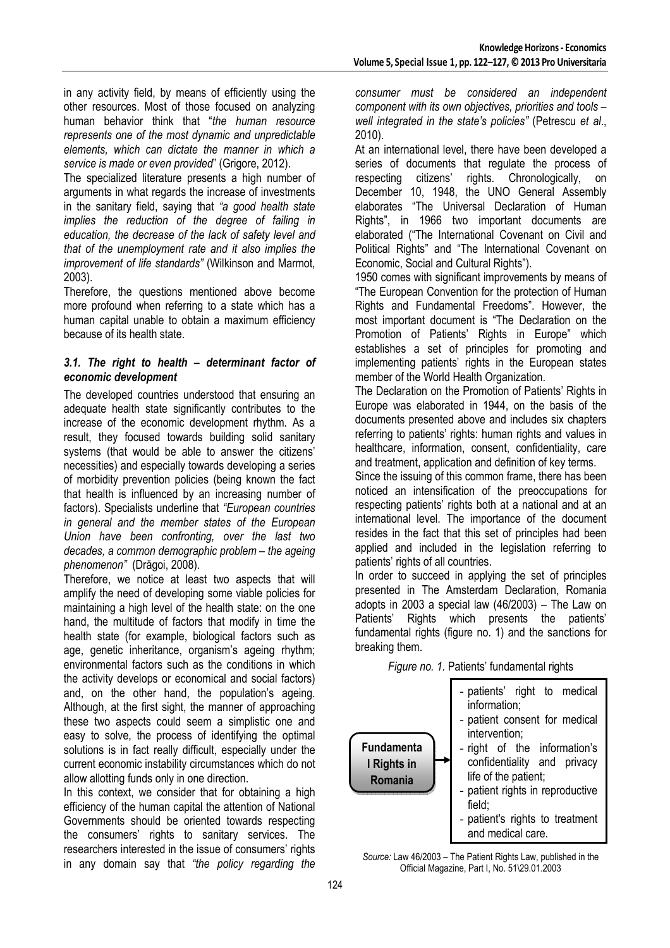in any activity field, by means of efficiently using the other resources. Most of those focused on analyzing human behavior think that "*the human resource represents one of the most dynamic and unpredictable elements, which can dictate the manner in which a service is made or even provided*" (Grigore, 2012).

The specialized literature presents a high number of arguments in what regards the increase of investments in the sanitary field, saying that *"a good health state implies the reduction of the degree of failing in education, the decrease of the lack of safety level and that of the unemployment rate and it also implies the improvement of life standards"* (Wilkinson and Marmot, 2003).

Therefore, the questions mentioned above become more profound when referring to a state which has a human capital unable to obtain a maximum efficiency because of its health state.

#### *3.1. The right to health – determinant factor of economic development*

The developed countries understood that ensuring an adequate health state significantly contributes to the increase of the economic development rhythm. As a result, they focused towards building solid sanitary systems (that would be able to answer the citizens' necessities) and especially towards developing a series of morbidity prevention policies (being known the fact that health is influenced by an increasing number of factors). Specialists underline that *"European countries in general and the member states of the European Union have been confronting, over the last two decades, a common demographic problem – the ageing phenomenon"* (Drăgoi, 2008).

Therefore, we notice at least two aspects that will amplify the need of developing some viable policies for maintaining a high level of the health state: on the one hand, the multitude of factors that modify in time the health state (for example, biological factors such as age, genetic inheritance, organism's ageing rhythm; environmental factors such as the conditions in which the activity develops or economical and social factors) and, on the other hand, the population's ageing. Although, at the first sight, the manner of approaching these two aspects could seem a simplistic one and easy to solve, the process of identifying the optimal solutions is in fact really difficult, especially under the current economic instability circumstances which do not allow allotting funds only in one direction.

In this context, we consider that for obtaining a high efficiency of the human capital the attention of National Governments should be oriented towards respecting the consumers' rights to sanitary services. The researchers interested in the issue of consumers' rights in any domain say that *"the policy regarding the* 

*consumer must be considered an independent component with its own objectives, priorities and tools – well integrated in the state's policies"* (Petrescu *et al*., 2010).

At an international level, there have been developed a series of documents that regulate the process of respecting citizens' rights. Chronologically, on December 10, 1948, the UNO General Assembly elaborates "The Universal Declaration of Human Rights", in 1966 two important documents are elaborated ("The International Covenant on Civil and Political Rights" and "The International Covenant on Economic, Social and Cultural Rights").

1950 comes with significant improvements by means of "The European Convention for the protection of Human Rights and Fundamental Freedoms". However, the most important document is "The Declaration on the Promotion of Patients' Rights in Europe" which establishes a set of principles for promoting and implementing patients' rights in the European states member of the World Health Organization.

The Declaration on the Promotion of Patients' Rights in Europe was elaborated in 1944, on the basis of the documents presented above and includes six chapters referring to patients' rights: human rights and values in healthcare, information, consent, confidentiality, care and treatment, application and definition of key terms.

Since the issuing of this common frame, there has been noticed an intensification of the preoccupations for respecting patients' rights both at a national and at an international level. The importance of the document resides in the fact that this set of principles had been applied and included in the legislation referring to patients' rights of all countries.

In order to succeed in applying the set of principles presented in The Amsterdam Declaration, Romania adopts in 2003 a special law (46/2003) – The Law on Patients' Rights which presents the patients' fundamental rights (figure no. 1) and the sanctions for breaking them.



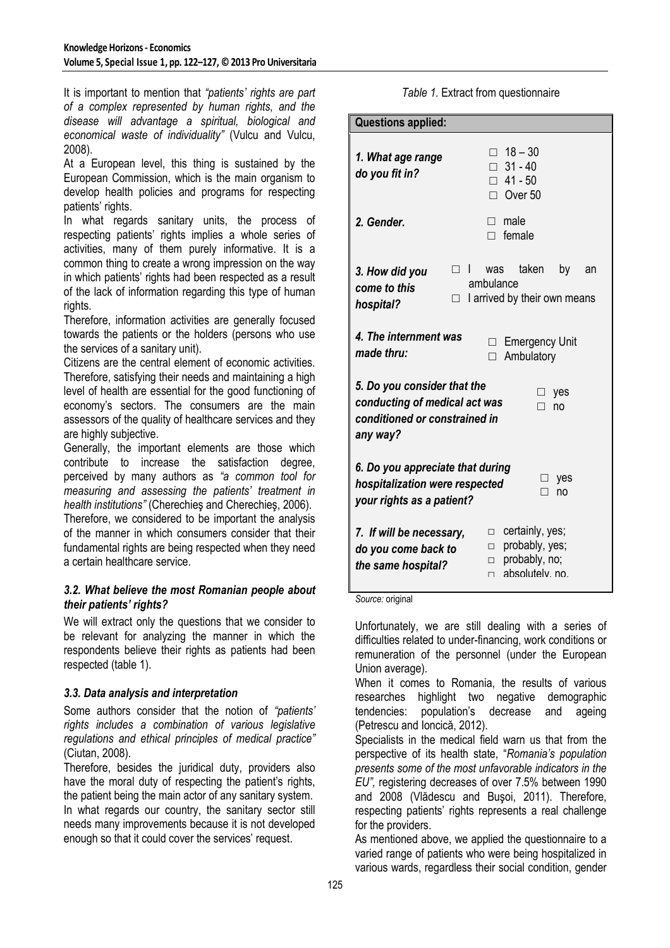It is important to mention that *"patients' rights are part of a complex represented by human rights, and the disease will advantage a spiritual, biological and economical waste of individuality"* (Vulcu and Vulcu, 2008).

At a European level, this thing is sustained by the European Commission, which is the main organism to develop health policies and programs for respecting patients' rights.

In what regards sanitary units, the process of respecting patients' rights implies a whole series of activities, many of them purely informative. It is a common thing to create a wrong impression on the way in which patients' rights had been respected as a result of the lack of information regarding this type of human rights.

Therefore, information activities are generally focused towards the patients or the holders (persons who use the services of a sanitary unit).

Citizens are the central element of economic activities. Therefore, satisfying their needs and maintaining a high level of health are essential for the good functioning of economy's sectors. The consumers are the main assessors of the quality of healthcare services and they are highly subjective.

Generally, the important elements are those which contribute to increase the satisfaction degree, perceived by many authors as *"a common tool for measuring and assessing the patients' treatment in health institutions"* (Cherechieş and Cherechieş, 2006).

Therefore, we considered to be important the analysis of the manner in which consumers consider that their fundamental rights are being respected when they need a certain healthcare service.

#### *3.2. What believe the most Romanian people about their patients' rights?*

We will extract only the questions that we consider to be relevant for analyzing the manner in which the respondents believe their rights as patients had been respected (table 1).

### *3.3. Data analysis and interpretation*

Some authors consider that the notion of *"patients' rights includes a combination of various legislative regulations and ethical principles of medical practice"*  (Ciutan, 2008).

Therefore, besides the juridical duty, providers also have the moral duty of respecting the patient's rights, the patient being the main actor of any sanitary system. In what regards our country, the sanitary sector still needs many improvements because it is not developed enough so that it could cover the services' request.

*Table 1.* Extract from questionnaire

| <b>Questions applied:</b>                                                                                                          |                                                                                                               |
|------------------------------------------------------------------------------------------------------------------------------------|---------------------------------------------------------------------------------------------------------------|
| 1. What age range<br>do you fit in?                                                                                                | $\Box$ 18 - 30<br>$\Box$ 31 - 40<br>$\Box$ 41 - 50<br>$\Box$ Over 50                                          |
| 2. Gender.                                                                                                                         | male<br>П.<br>female                                                                                          |
| 3. How did you<br>come to this<br>hospital?                                                                                        | taken<br>$\Box$<br>was<br>by<br>an<br>ambulance<br>I arrived by their own means<br>$\Box$                     |
| 4. The internment was<br>made thru:                                                                                                | <b>Emergency Unit</b><br>٠<br>Ambulatory<br>П                                                                 |
| 5. Do you consider that the<br>yes<br>⊔ -<br>conducting of medical act was<br>no<br>П<br>conditioned or constrained in<br>any way? |                                                                                                               |
| 6. Do you appreciate that during<br>yes<br>hospitalization were respected<br>no<br>your rights as a patient?                       |                                                                                                               |
| 7. If will be necessary,<br>do you come back to<br>the same hospital?                                                              | certainly, yes;<br>$\Box$<br>probably, yes;<br>$\Box$<br>probably, no;<br>$\Box$<br>absolutely, no.<br>$\Box$ |

*Source:* original

Unfortunately, we are still dealing with a series of difficulties related to under-financing, work conditions or remuneration of the personnel (under the European Union average).

When it comes to Romania, the results of various researches highlight two negative demographic tendencies: population's decrease and ageing (Petrescu and Ioncică, 2012).

Specialists in the medical field warn us that from the perspective of its health state, "*Romania's population presents some of the most unfavorable indicators in the EU",* registering decreases of over 7.5% between 1990 and 2008 (Vlădescu and Buşoi, 2011). Therefore, respecting patients' rights represents a real challenge for the providers.

As mentioned above, we applied the questionnaire to a varied range of patients who were being hospitalized in various wards, regardless their social condition, gender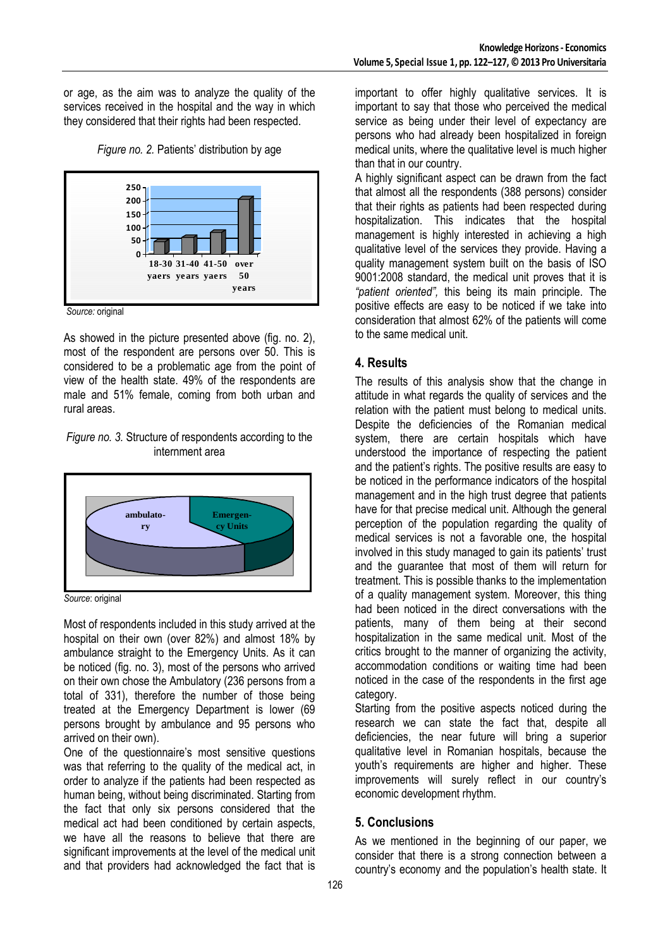or age, as the aim was to analyze the quality of the services received in the hospital and the way in which they considered that their rights had been respected.





*Source:* original

As showed in the picture presented above (fig. no. 2), most of the respondent are persons over 50. This is considered to be a problematic age from the point of view of the health state. 49% of the respondents are male and 51% female, coming from both urban and rural areas.

#### *Figure no. 3.* Structure of respondents according to the internment area



*Source*: original

Most of respondents included in this study arrived at the hospital on their own (over 82%) and almost 18% by ambulance straight to the Emergency Units. As it can be noticed (fig. no. 3), most of the persons who arrived on their own chose the Ambulatory (236 persons from a total of 331), therefore the number of those being treated at the Emergency Department is lower (69 persons brought by ambulance and 95 persons who arrived on their own).

One of the questionnaire's most sensitive questions was that referring to the quality of the medical act, in order to analyze if the patients had been respected as human being, without being discriminated. Starting from the fact that only six persons considered that the medical act had been conditioned by certain aspects, we have all the reasons to believe that there are significant improvements at the level of the medical unit and that providers had acknowledged the fact that is

important to offer highly qualitative services. It is important to say that those who perceived the medical service as being under their level of expectancy are persons who had already been hospitalized in foreign medical units, where the qualitative level is much higher than that in our country.

A highly significant aspect can be drawn from the fact that almost all the respondents (388 persons) consider that their rights as patients had been respected during hospitalization. This indicates that the hospital management is highly interested in achieving a high qualitative level of the services they provide. Having a quality management system built on the basis of ISO 9001:2008 standard, the medical unit proves that it is *"patient oriented",* this being its main principle. The positive effects are easy to be noticed if we take into consideration that almost 62% of the patients will come to the same medical unit.

# **4. Results**

The results of this analysis show that the change in attitude in what regards the quality of services and the relation with the patient must belong to medical units. Despite the deficiencies of the Romanian medical system, there are certain hospitals which have understood the importance of respecting the patient and the patient's rights. The positive results are easy to be noticed in the performance indicators of the hospital management and in the high trust degree that patients have for that precise medical unit. Although the general perception of the population regarding the quality of medical services is not a favorable one, the hospital involved in this study managed to gain its patients' trust and the guarantee that most of them will return for treatment. This is possible thanks to the implementation of a quality management system. Moreover, this thing had been noticed in the direct conversations with the patients, many of them being at their second hospitalization in the same medical unit. Most of the critics brought to the manner of organizing the activity, accommodation conditions or waiting time had been noticed in the case of the respondents in the first age category.

Starting from the positive aspects noticed during the research we can state the fact that, despite all deficiencies, the near future will bring a superior qualitative level in Romanian hospitals, because the youth's requirements are higher and higher. These improvements will surely reflect in our country's economic development rhythm.

# **5. Conclusions**

As we mentioned in the beginning of our paper, we consider that there is a strong connection between a country's economy and the population's health state. It